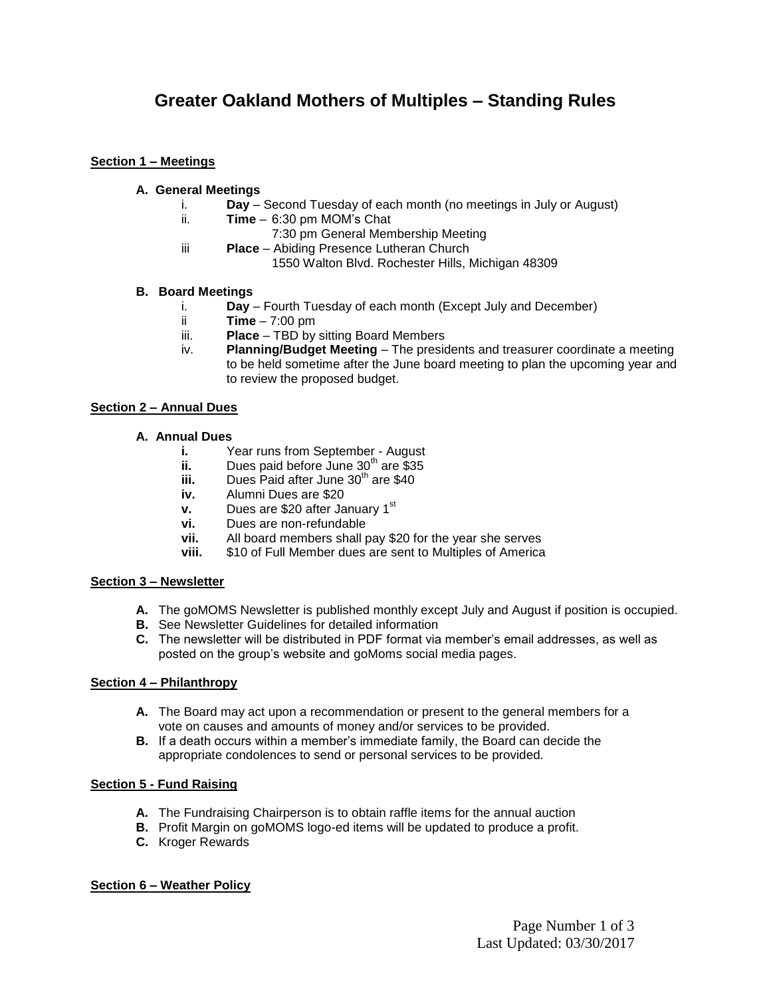# **Greater Oakland Mothers of Multiples – Standing Rules**

#### **Section 1 – Meetings**

## **A. General Meetings**

- i. **Day** Second Tuesday of each month (no meetings in July or August)
- ii. **Time**  6:30 pm MOM's Chat
	- 7:30 pm General Membership Meeting
- iii **Place**  Abiding Presence Lutheran Church 1550 Walton Blvd. Rochester Hills, Michigan 48309

#### **B. Board Meetings**

- i. **Day** Fourth Tuesday of each month (Except July and December)
- ii **Time** 7:00 pm
- iii. **Place** TBD by sitting Board Members
- iv. **Planning/Budget Meeting**  The presidents and treasurer coordinate a meeting to be held sometime after the June board meeting to plan the upcoming year and to review the proposed budget.

#### **Section 2 – Annual Dues**

# **A. Annual Dues**

- **i.** Year runs from September August
- **ii.** Dues paid before June 30<sup>th</sup> are \$35
- **iii.** Dues Paid after June 30<sup>th</sup> are \$40
- **iv.** Alumni Dues are \$20
- **v.** Dues are \$20 after January 1<sup>st</sup>
- **vi.** Dues are non-refundable
- **vii.** All board members shall pay \$20 for the year she serves
- **viii.** \$10 of Full Member dues are sent to Multiples of America

# **Section 3 – Newsletter**

- **A.** The goMOMS Newsletter is published monthly except July and August if position is occupied.
- **B.** See Newsletter Guidelines for detailed information
- **C.** The newsletter will be distributed in PDF format via member's email addresses, as well as posted on the group's website and goMoms social media pages.

# **Section 4 – Philanthropy**

- **A.** The Board may act upon a recommendation or present to the general members for a vote on causes and amounts of money and/or services to be provided.
- **B.** If a death occurs within a member's immediate family, the Board can decide the appropriate condolences to send or personal services to be provided.

# **Section 5 - Fund Raising**

- **A.** The Fundraising Chairperson is to obtain raffle items for the annual auction
- **B.** Profit Margin on goMOMS logo-ed items will be updated to produce a profit.
- **C.** Kroger Rewards

#### **Section 6 – Weather Policy**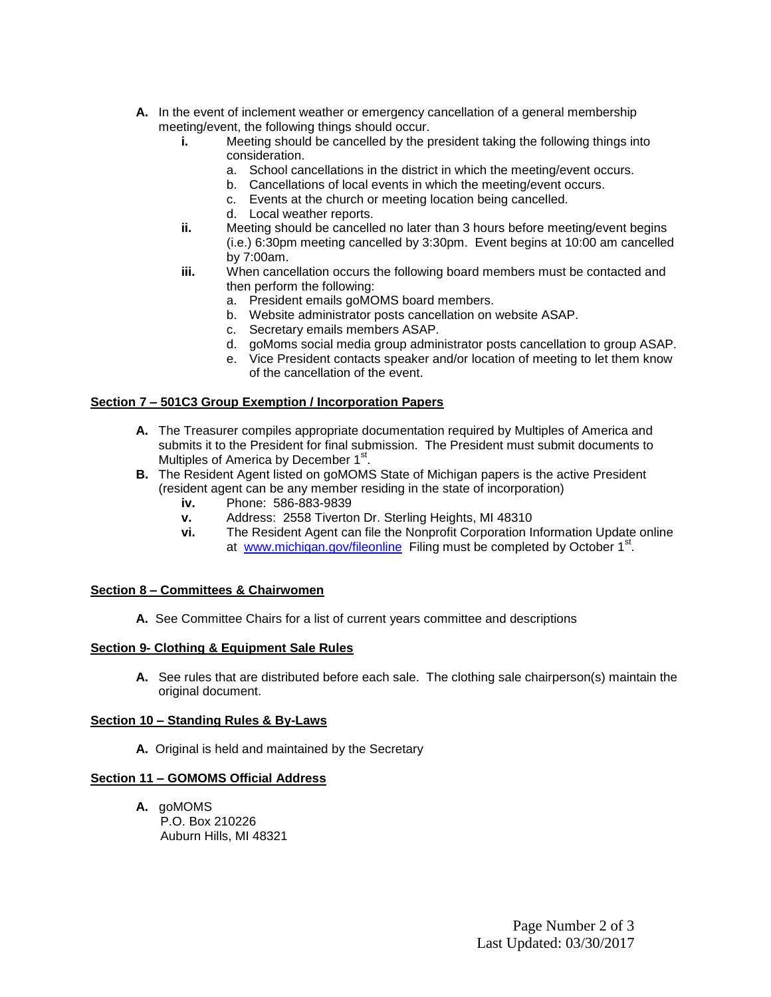- **A.** In the event of inclement weather or emergency cancellation of a general membership meeting/event, the following things should occur.
	- **i.** Meeting should be cancelled by the president taking the following things into consideration.
		- a. School cancellations in the district in which the meeting/event occurs.
		- b. Cancellations of local events in which the meeting/event occurs.
		- c. Events at the church or meeting location being cancelled.
		- d. Local weather reports.
	- **ii.** Meeting should be cancelled no later than 3 hours before meeting/event begins (i.e.) 6:30pm meeting cancelled by 3:30pm. Event begins at 10:00 am cancelled by 7:00am.
	- **iii.** When cancellation occurs the following board members must be contacted and then perform the following:
		- a. President emails goMOMS board members.
		- b. Website administrator posts cancellation on website ASAP.
		- c. Secretary emails members ASAP.
		- d. goMoms social media group administrator posts cancellation to group ASAP.
		- e. Vice President contacts speaker and/or location of meeting to let them know of the cancellation of the event.

#### **Section 7 – 501C3 Group Exemption / Incorporation Papers**

- **A.** The Treasurer compiles appropriate documentation required by Multiples of America and submits it to the President for final submission. The President must submit documents to Multiples of America by December 1<sup>st</sup>.
- **B.** The Resident Agent listed on goMOMS State of Michigan papers is the active President (resident agent can be any member residing in the state of incorporation)
	- **iv.** Phone: 586-883-9839
	- **v.** Address: 2558 Tiverton Dr. Sterling Heights, MI 48310
	- **vi.** The Resident Agent can file the Nonprofit Corporation Information Update online at [www.michigan.gov/fileonline](http://www.michigan.gov/fileonline) Filing must be completed by October 1<sup>st</sup>.

#### **Section 8 – Committees & Chairwomen**

**A.** See Committee Chairs for a list of current years committee and descriptions

#### **Section 9- Clothing & Equipment Sale Rules**

**A.** See rules that are distributed before each sale. The clothing sale chairperson(s) maintain the original document.

#### **Section 10 – Standing Rules & By-Laws**

**A.** Original is held and maintained by the Secretary

#### **Section 11 – GOMOMS Official Address**

**A.** goMOMS P.O. Box 210226 Auburn Hills, MI 48321